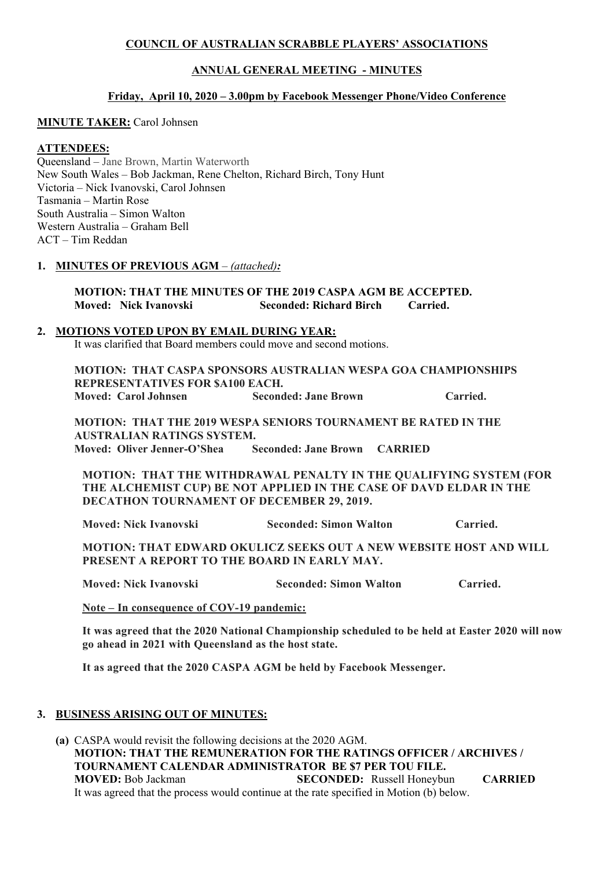## **COUNCIL OF AUSTRALIAN SCRABBLE PLAYERS' ASSOCIATIONS**

## **ANNUAL GENERAL MEETING - MINUTES**

## **Friday, April 10, 2020 – 3.00pm by Facebook Messenger Phone/Video Conference**

#### **MINUTE TAKER:** Carol Johnsen

## **ATTENDEES:**

Queensland – Jane Brown, Martin Waterworth New South Wales – Bob Jackman, Rene Chelton, Richard Birch, Tony Hunt Victoria – Nick Ivanovski, Carol Johnsen Tasmania – Martin Rose South Australia – Simon Walton Western Australia – Graham Bell ACT – Tim Reddan

#### **1. MINUTES OF PREVIOUS AGM** – *(attached):*

## **MOTION: THAT THE MINUTES OF THE 2019 CASPA AGM BE ACCEPTED. Moved: Nick Ivanovski Seconded: Richard Birch Carried.**

#### **2. MOTIONS VOTED UPON BY EMAIL DURING YEAR:**

It was clarified that Board members could move and second motions.

**MOTION: THAT CASPA SPONSORS AUSTRALIAN WESPA GOA CHAMPIONSHIPS REPRESENTATIVES FOR \$A100 EACH. Moved: Carol Johnsen Seconded: Jane Brown Carried.**

**MOTION: THAT THE 2019 WESPA SENIORS TOURNAMENT BE RATED IN THE AUSTRALIAN RATINGS SYSTEM. Moved: Oliver Jenner-O'Shea Seconded: Jane Brown CARRIED**

**MOTION: THAT THE WITHDRAWAL PENALTY IN THE QUALIFYING SYSTEM (FOR THE ALCHEMIST CUP) BE NOT APPLIED IN THE CASE OF DAVD ELDAR IN THE DECATHON TOURNAMENT OF DECEMBER 29, 2019.**

**Moved: Nick Ivanovski Seconded: Simon Walton Carried.**

**MOTION: THAT EDWARD OKULICZ SEEKS OUT A NEW WEBSITE HOST AND WILL PRESENT A REPORT TO THE BOARD IN EARLY MAY.**

**Moved: Nick Ivanovski Seconded: Simon Walton Carried.**

**Note – In consequence of COV-19 pandemic:** 

**It was agreed that the 2020 National Championship scheduled to be held at Easter 2020 will now go ahead in 2021 with Queensland as the host state.**

**It as agreed that the 2020 CASPA AGM be held by Facebook Messenger.**

#### **3. BUSINESS ARISING OUT OF MINUTES:**

**(a)** CASPA would revisit the following decisions at the 2020 AGM. **MOTION: THAT THE REMUNERATION FOR THE RATINGS OFFICER / ARCHIVES / TOURNAMENT CALENDAR ADMINISTRATOR BE \$7 PER TOU FILE. MOVED:** Bob Jackman **SECONDED:** Russell Honeybun **CARRIED** It was agreed that the process would continue at the rate specified in Motion (b) below.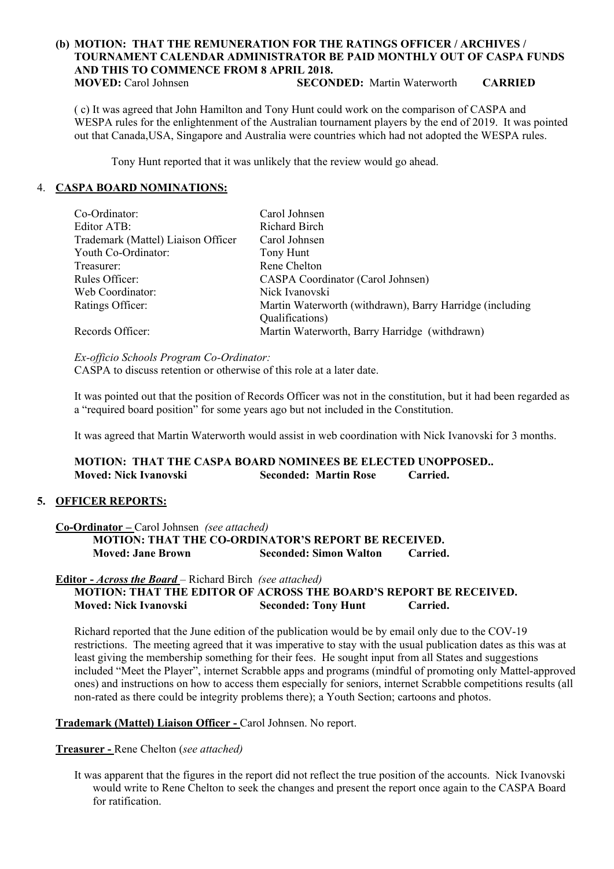#### **(b) MOTION: THAT THE REMUNERATION FOR THE RATINGS OFFICER / ARCHIVES / TOURNAMENT CALENDAR ADMINISTRATOR BE PAID MONTHLY OUT OF CASPA FUNDS AND THIS TO COMMENCE FROM 8 APRIL 2018. MOVED:** Carol Johnsen **SECONDED:** Martin Waterworth **CARRIED**

( c) It was agreed that John Hamilton and Tony Hunt could work on the comparison of CASPA and WESPA rules for the enlightenment of the Australian tournament players by the end of 2019. It was pointed out that Canada,USA, Singapore and Australia were countries which had not adopted the WESPA rules.

Tony Hunt reported that it was unlikely that the review would go ahead.

## 4. **CASPA BOARD NOMINATIONS:**

| Co-Ordinator:                      | Carol Johnsen                                            |
|------------------------------------|----------------------------------------------------------|
| Editor ATB:                        | Richard Birch                                            |
| Trademark (Mattel) Liaison Officer | Carol Johnsen                                            |
| Youth Co-Ordinator:                | Tony Hunt                                                |
| Treasurer:                         | Rene Chelton                                             |
| Rules Officer:                     | <b>CASPA Coordinator (Carol Johnsen)</b>                 |
| Web Coordinator:                   | Nick Ivanovski                                           |
| Ratings Officer:                   | Martin Waterworth (withdrawn), Barry Harridge (including |
|                                    | Qualifications)                                          |
| Records Officer:                   | Martin Waterworth, Barry Harridge (withdrawn)            |

*Ex-officio Schools Program Co-Ordinator:*  CASPA to discuss retention or otherwise of this role at a later date.

It was pointed out that the position of Records Officer was not in the constitution, but it had been regarded as a "required board position" for some years ago but not included in the Constitution.

It was agreed that Martin Waterworth would assist in web coordination with Nick Ivanovski for 3 months.

**MOTION: THAT THE CASPA BOARD NOMINEES BE ELECTED UNOPPOSED.. Moved: Nick Ivanovski Seconded: Martin Rose Carried.**

## **5. OFFICER REPORTS:**

## **Co-Ordinator –** Carol Johnsen *(see attached)*

**MOTION: THAT THE CO-ORDINATOR'S REPORT BE RECEIVED. Moved: Jane Brown Seconded: Simon Walton Carried.** 

## **Editor -** *Across the Board* – Richard Birch *(see attached)*

## **MOTION: THAT THE EDITOR OF ACROSS THE BOARD'S REPORT BE RECEIVED. Moved: Nick Ivanovski Seconded: Tony Hunt Carried.**

Richard reported that the June edition of the publication would be by email only due to the COV-19 restrictions. The meeting agreed that it was imperative to stay with the usual publication dates as this was at least giving the membership something for their fees. He sought input from all States and suggestions included "Meet the Player", internet Scrabble apps and programs (mindful of promoting only Mattel-approved ones) and instructions on how to access them especially for seniors, internet Scrabble competitions results (all non-rated as there could be integrity problems there); a Youth Section; cartoons and photos.

#### **Trademark (Mattel) Liaison Officer -** Carol Johnsen. No report.

#### **Treasurer -** Rene Chelton (*see attached)*

It was apparent that the figures in the report did not reflect the true position of the accounts. Nick Ivanovski would write to Rene Chelton to seek the changes and present the report once again to the CASPA Board for ratification.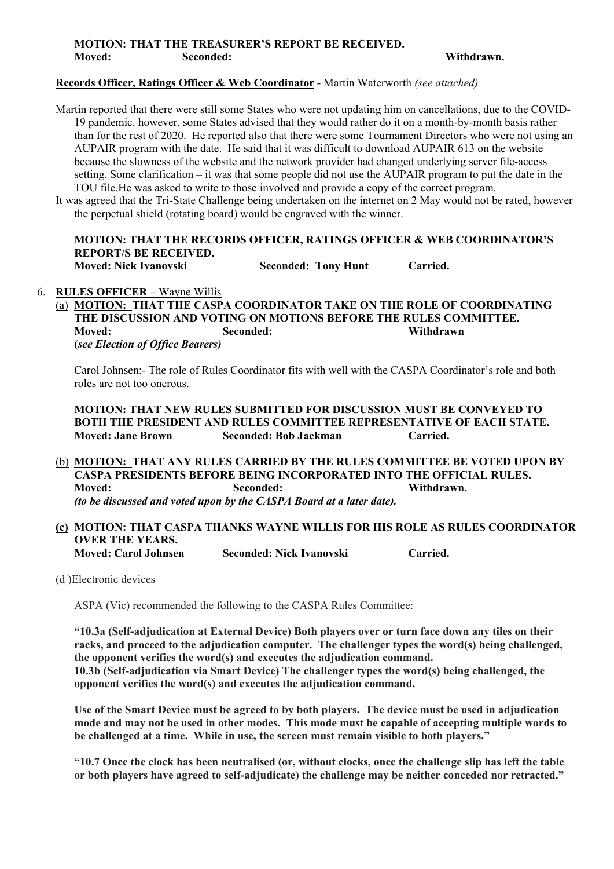## **MOTION: THAT THE TREASURER'S REPORT BE RECEIVED. Moved: Seconded: Withdrawn.**

#### **Records Officer, Ratings Officer & Web Coordinator** - Martin Waterworth *(see attached)*

Martin reported that there were still some States who were not updating him on cancellations, due to the COVID-19 pandemic. however, some States advised that they would rather do it on a month-by-month basis rather than for the rest of 2020. He reported also that there were some Tournament Directors who were not using an AUPAIR program with the date. He said that it was difficult to download AUPAIR 613 on the website because the slowness of the website and the network provider had changed underlying server file-access setting. Some clarification – it was that some people did not use the AUPAIR program to put the date in the TOU file.He was asked to write to those involved and provide a copy of the correct program.

It was agreed that the Tri-State Challenge being undertaken on the internet on 2 May would not be rated, however the perpetual shield (rotating board) would be engraved with the winner.

# **MOTION: THAT THE RECORDS OFFICER, RATINGS OFFICER & WEB COORDINATOR'S REPORT/S BE RECEIVED.**

**Moved: Nick Ivanovski Seconded: Tony Hunt Carried.**

## 6. **RULES OFFICER –** Wayne Willis

(a) **MOTION: THAT THE CASPA COORDINATOR TAKE ON THE ROLE OF COORDINATING THE DISCUSSION AND VOTING ON MOTIONS BEFORE THE RULES COMMITTEE. Moved: Seconded: Withdrawn (***see Election of Office Bearers)*

Carol Johnsen:- The role of Rules Coordinator fits with well with the CASPA Coordinator's role and both roles are not too onerous.

**MOTION: THAT NEW RULES SUBMITTED FOR DISCUSSION MUST BE CONVEYED TO BOTH THE PRESIDENT AND RULES COMMITTEE REPRESENTATIVE OF EACH STATE. Moved: Jane Brown Seconded: Bob Jackman Carried.**

(b) **MOTION: THAT ANY RULES CARRIED BY THE RULES COMMITTEE BE VOTED UPON BY CASPA PRESIDENTS BEFORE BEING INCORPORATED INTO THE OFFICIAL RULES. Moved: Seconded: Withdrawn.** *(to be discussed and voted upon by the CASPA Board at a later date).*

#### **(c) MOTION: THAT CASPA THANKS WAYNE WILLIS FOR HIS ROLE AS RULES COORDINATOR OVER THE YEARS. Moved: Carol Johnsen Seconded: Nick Ivanovski Carried.**

(d )Electronic devices

ASPA (Vic) recommended the following to the CASPA Rules Committee:

**"10.3a (Self-adjudication at External Device) Both players over or turn face down any tiles on their racks, and proceed to the adjudication computer. The challenger types the word(s) being challenged, the opponent verifies the word(s) and executes the adjudication command. 10.3b (Self-adjudication via Smart Device) The challenger types the word(s) being challenged, the opponent verifies the word(s) and executes the adjudication command.**

**Use of the Smart Device must be agreed to by both players. The device must be used in adjudication mode and may not be used in other modes. This mode must be capable of accepting multiple words to be challenged at a time. While in use, the screen must remain visible to both players."**

**"10.7 Once the clock has been neutralised (or, without clocks, once the challenge slip has left the table or both players have agreed to self-adjudicate) the challenge may be neither conceded nor retracted."**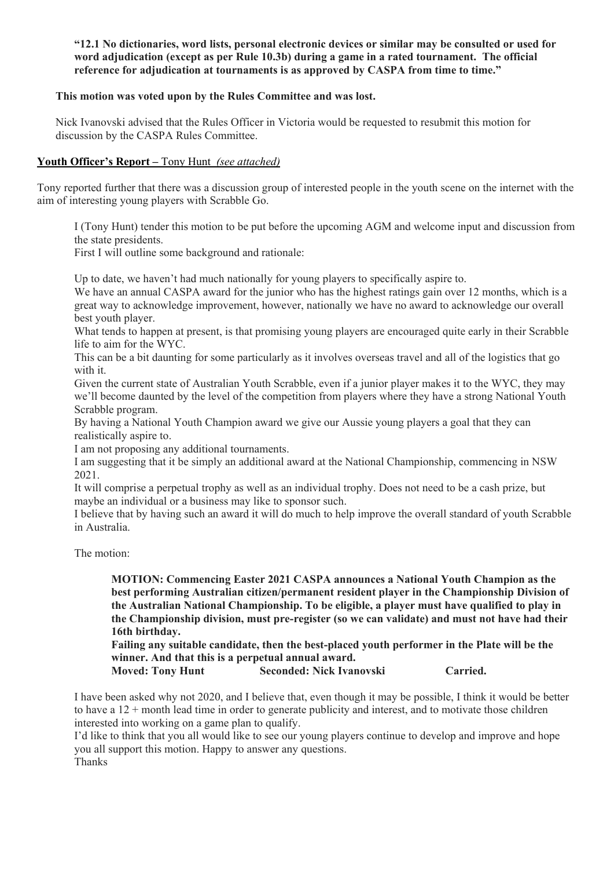### **"12.1 No dictionaries, word lists, personal electronic devices or similar may be consulted or used for word adjudication (except as per Rule 10.3b) during a game in a rated tournament. The official reference for adjudication at tournaments is as approved by CASPA from time to time."**

## **This motion was voted upon by the Rules Committee and was lost.**

Nick Ivanovski advised that the Rules Officer in Victoria would be requested to resubmit this motion for discussion by the CASPA Rules Committee.

## **Youth Officer's Report –** Tony Hunt *(see attached)*

Tony reported further that there was a discussion group of interested people in the youth scene on the internet with the aim of interesting young players with Scrabble Go.

I (Tony Hunt) tender this motion to be put before the upcoming AGM and welcome input and discussion from the state presidents.

First I will outline some background and rationale:

Up to date, we haven't had much nationally for young players to specifically aspire to.

We have an annual CASPA award for the junior who has the highest ratings gain over 12 months, which is a great way to acknowledge improvement, however, nationally we have no award to acknowledge our overall best youth player.

What tends to happen at present, is that promising young players are encouraged quite early in their Scrabble life to aim for the WYC.

This can be a bit daunting for some particularly as it involves overseas travel and all of the logistics that go with it.

Given the current state of Australian Youth Scrabble, even if a junior player makes it to the WYC, they may we'll become daunted by the level of the competition from players where they have a strong National Youth Scrabble program.

By having a National Youth Champion award we give our Aussie young players a goal that they can realistically aspire to.

I am not proposing any additional tournaments.

I am suggesting that it be simply an additional award at the National Championship, commencing in NSW 2021.

It will comprise a perpetual trophy as well as an individual trophy. Does not need to be a cash prize, but maybe an individual or a business may like to sponsor such.

I believe that by having such an award it will do much to help improve the overall standard of youth Scrabble in Australia.

The motion:

**MOTION: Commencing Easter 2021 CASPA announces a National Youth Champion as the best performing Australian citizen/permanent resident player in the Championship Division of the Australian National Championship. To be eligible, a player must have qualified to play in the Championship division, must pre-register (so we can validate) and must not have had their 16th birthday.** 

**Failing any suitable candidate, then the best-placed youth performer in the Plate will be the winner. And that this is a perpetual annual award.**

**Moved: Tony Hunt Seconded: Nick Ivanovski Carried.**

I have been asked why not 2020, and I believe that, even though it may be possible, I think it would be better to have a  $12 +$  month lead time in order to generate publicity and interest, and to motivate those children interested into working on a game plan to qualify.

I'd like to think that you all would like to see our young players continue to develop and improve and hope you all support this motion. Happy to answer any questions.

Thanks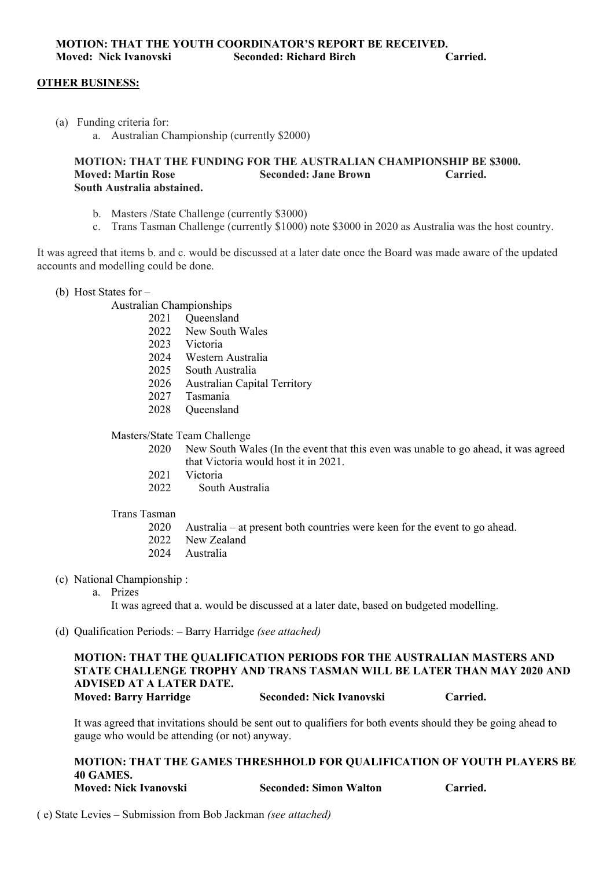#### **OTHER BUSINESS:**

- (a) Funding criteria for:
	- a. Australian Championship (currently \$2000)

#### **MOTION: THAT THE FUNDING FOR THE AUSTRALIAN CHAMPIONSHIP BE \$3000. Seconded: Jane Brown South Australia abstained.**

- b. Masters /State Challenge (currently \$3000)
- c. Trans Tasman Challenge (currently \$1000) note \$3000 in 2020 as Australia was the host country.

It was agreed that items b. and c. would be discussed at a later date once the Board was made aware of the updated accounts and modelling could be done.

(b) Host States for –

Australian Championships

- 2021 Queensland
- 2022 New South Wales
- 2023 Victoria
- 2024 Western Australia
- 2025 South Australia
- 2026 Australian Capital Territory
- 2027 Tasmania
- 2028 Queensland

Masters/State Team Challenge

- 2020 New South Wales (In the event that this even was unable to go ahead, it was agreed that Victoria would host it in 2021.
- 2021 Victoria
- 2022 South Australia

#### Trans Tasman

- 2020 Australia at present both countries were keen for the event to go ahead.
- 2022 New Zealand
- 2024 Australia
- (c) National Championship :
	- a. Prizes

It was agreed that a. would be discussed at a later date, based on budgeted modelling.

(d) Qualification Periods: – Barry Harridge *(see attached)*

#### **MOTION: THAT THE QUALIFICATION PERIODS FOR THE AUSTRALIAN MASTERS AND STATE CHALLENGE TROPHY AND TRANS TASMAN WILL BE LATER THAN MAY 2020 AND ADVISED AT A LATER DATE. Moved: Barry Harridge Seconded: Nick Ivanovski Carried.**

It was agreed that invitations should be sent out to qualifiers for both events should they be going ahead to gauge who would be attending (or not) anyway.

**MOTION: THAT THE GAMES THRESHHOLD FOR QUALIFICATION OF YOUTH PLAYERS BE 40 GAMES. Moved: Nick Ivanovski Seconded: Simon Walton Carried.** 

( e) State Levies – Submission from Bob Jackman *(see attached)*